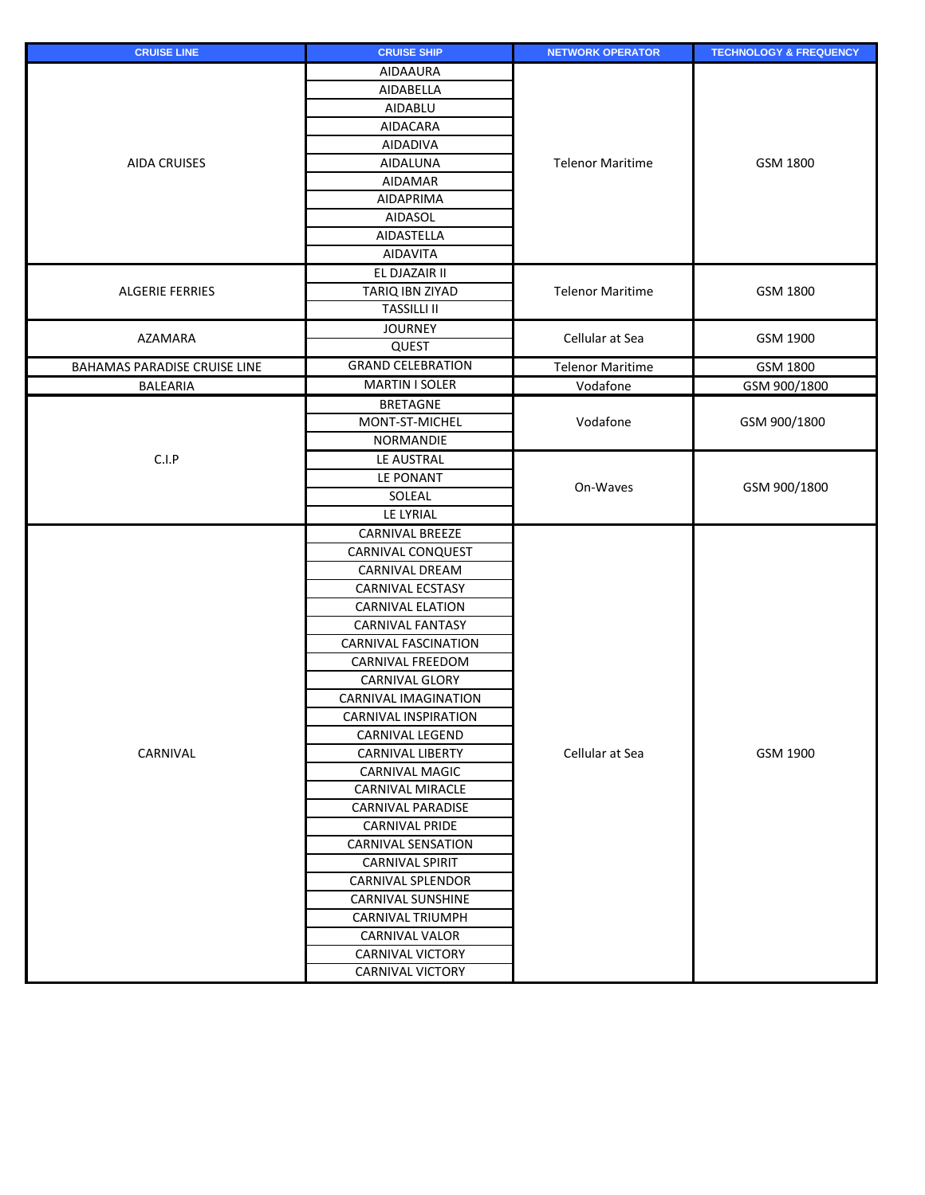| <b>CRUISE LINE</b>                  | <b>CRUISE SHIP</b>          | <b>NETWORK OPERATOR</b> | <b>TECHNOLOGY &amp; FREQUENCY</b> |
|-------------------------------------|-----------------------------|-------------------------|-----------------------------------|
| <b>AIDA CRUISES</b>                 | <b>AIDAAURA</b>             |                         | GSM 1800                          |
|                                     | AIDABELLA                   |                         |                                   |
|                                     | AIDABLU                     |                         |                                   |
|                                     | <b>AIDACARA</b>             |                         |                                   |
|                                     | <b>AIDADIVA</b>             |                         |                                   |
|                                     | <b>AIDALUNA</b>             | <b>Telenor Maritime</b> |                                   |
|                                     | <b>AIDAMAR</b>              |                         |                                   |
|                                     | <b>AIDAPRIMA</b>            |                         |                                   |
|                                     | <b>AIDASOL</b>              |                         |                                   |
|                                     | AIDASTELLA                  |                         |                                   |
|                                     | <b>AIDAVITA</b>             |                         |                                   |
|                                     | EL DJAZAIR II               |                         |                                   |
| <b>ALGERIE FERRIES</b>              | TARIQ IBN ZIYAD             | <b>Telenor Maritime</b> | GSM 1800                          |
|                                     | <b>TASSILLI II</b>          |                         |                                   |
| AZAMARA                             | <b>JOURNEY</b>              | Cellular at Sea         | GSM 1900                          |
|                                     | QUEST                       |                         |                                   |
| <b>BAHAMAS PARADISE CRUISE LINE</b> | <b>GRAND CELEBRATION</b>    | <b>Telenor Maritime</b> | GSM 1800                          |
| <b>BALEARIA</b>                     | <b>MARTIN I SOLER</b>       | Vodafone                | GSM 900/1800                      |
|                                     | <b>BRETAGNE</b>             |                         | GSM 900/1800                      |
|                                     | MONT-ST-MICHEL              | Vodafone                |                                   |
|                                     | <b>NORMANDIE</b>            |                         |                                   |
| C.I.P                               | LE AUSTRAL                  |                         | GSM 900/1800                      |
|                                     | LE PONANT                   | On-Waves                |                                   |
|                                     | SOLEAL                      |                         |                                   |
|                                     | LE LYRIAL                   |                         |                                   |
|                                     | <b>CARNIVAL BREEZE</b>      |                         | GSM 1900                          |
|                                     | <b>CARNIVAL CONQUEST</b>    |                         |                                   |
|                                     | <b>CARNIVAL DREAM</b>       |                         |                                   |
|                                     | <b>CARNIVAL ECSTASY</b>     |                         |                                   |
|                                     | <b>CARNIVAL ELATION</b>     |                         |                                   |
|                                     | <b>CARNIVAL FANTASY</b>     |                         |                                   |
|                                     | <b>CARNIVAL FASCINATION</b> |                         |                                   |
|                                     | <b>CARNIVAL FREEDOM</b>     |                         |                                   |
|                                     | <b>CARNIVAL GLORY</b>       |                         |                                   |
|                                     | <b>CARNIVAL IMAGINATION</b> | Cellular at Sea         |                                   |
|                                     | <b>CARNIVAL INSPIRATION</b> |                         |                                   |
|                                     | <b>CARNIVAL LEGEND</b>      |                         |                                   |
| CARNIVAL                            | <b>CARNIVAL LIBERTY</b>     |                         |                                   |
|                                     | <b>CARNIVAL MAGIC</b>       |                         |                                   |
|                                     | <b>CARNIVAL MIRACLE</b>     |                         |                                   |
|                                     | <b>CARNIVAL PARADISE</b>    |                         |                                   |
|                                     | <b>CARNIVAL PRIDE</b>       |                         |                                   |
|                                     | <b>CARNIVAL SENSATION</b>   |                         |                                   |
|                                     | <b>CARNIVAL SPIRIT</b>      |                         |                                   |
|                                     | <b>CARNIVAL SPLENDOR</b>    |                         |                                   |
|                                     | <b>CARNIVAL SUNSHINE</b>    |                         |                                   |
|                                     | <b>CARNIVAL TRIUMPH</b>     |                         |                                   |
|                                     | <b>CARNIVAL VALOR</b>       |                         |                                   |
|                                     | <b>CARNIVAL VICTORY</b>     |                         |                                   |
|                                     | <b>CARNIVAL VICTORY</b>     |                         |                                   |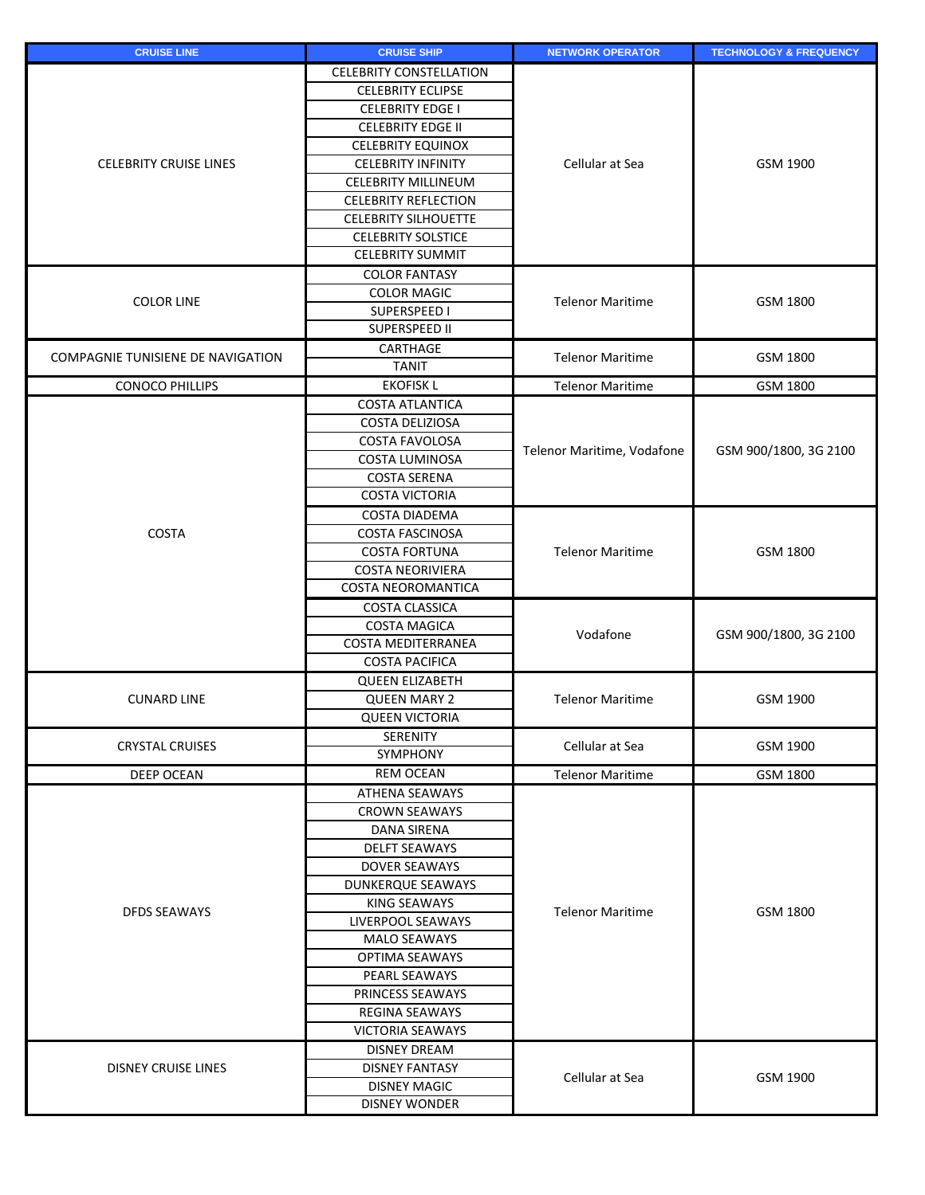| <b>CRUISE LINE</b>                | <b>CRUISE SHIP</b>                                 | <b>NETWORK OPERATOR</b>    | <b>TECHNOLOGY &amp; FREQUENCY</b> |
|-----------------------------------|----------------------------------------------------|----------------------------|-----------------------------------|
|                                   | <b>CELEBRITY CONSTELLATION</b>                     |                            |                                   |
|                                   | <b>CELEBRITY ECLIPSE</b>                           |                            |                                   |
|                                   | <b>CELEBRITY EDGE I</b>                            |                            | GSM 1900                          |
| <b>CELEBRITY CRUISE LINES</b>     | <b>CELEBRITY EDGE II</b>                           |                            |                                   |
|                                   | <b>CELEBRITY EQUINOX</b>                           |                            |                                   |
|                                   | <b>CELEBRITY INFINITY</b>                          | Cellular at Sea            |                                   |
|                                   | <b>CELEBRITY MILLINEUM</b>                         |                            |                                   |
|                                   | <b>CELEBRITY REFLECTION</b>                        |                            |                                   |
|                                   | <b>CELEBRITY SILHOUETTE</b>                        |                            |                                   |
|                                   | <b>CELEBRITY SOLSTICE</b>                          |                            |                                   |
|                                   | <b>CELEBRITY SUMMIT</b>                            |                            |                                   |
|                                   | <b>COLOR FANTASY</b>                               |                            |                                   |
| <b>COLOR LINE</b>                 | <b>COLOR MAGIC</b>                                 | <b>Telenor Maritime</b>    | GSM 1800                          |
|                                   | SUPERSPEED I                                       |                            |                                   |
|                                   | <b>SUPERSPEED II</b>                               |                            |                                   |
| COMPAGNIE TUNISIENE DE NAVIGATION | CARTHAGE                                           | <b>Telenor Maritime</b>    | GSM 1800                          |
|                                   | <b>TANIT</b>                                       |                            |                                   |
| <b>CONOCO PHILLIPS</b>            | <b>EKOFISK L</b>                                   | <b>Telenor Maritime</b>    | GSM 1800                          |
|                                   | <b>COSTA ATLANTICA</b>                             |                            |                                   |
|                                   | COSTA DELIZIOSA                                    |                            |                                   |
|                                   | <b>COSTA FAVOLOSA</b>                              | Telenor Maritime, Vodafone | GSM 900/1800, 3G 2100             |
|                                   | COSTA LUMINOSA                                     |                            |                                   |
|                                   | <b>COSTA SERENA</b>                                |                            |                                   |
|                                   | <b>COSTA VICTORIA</b>                              |                            |                                   |
|                                   | <b>COSTA DIADEMA</b>                               |                            | GSM 1800<br>GSM 900/1800, 3G 2100 |
| <b>COSTA</b>                      | <b>COSTA FASCINOSA</b>                             |                            |                                   |
|                                   | <b>COSTA FORTUNA</b>                               | <b>Telenor Maritime</b>    |                                   |
|                                   | <b>COSTA NEORIVIERA</b>                            |                            |                                   |
|                                   | <b>COSTA NEOROMANTICA</b>                          |                            |                                   |
|                                   | <b>COSTA CLASSICA</b>                              |                            |                                   |
|                                   | <b>COSTA MAGICA</b>                                | Vodafone                   |                                   |
|                                   | <b>COSTA MEDITERRANEA</b><br><b>COSTA PACIFICA</b> |                            |                                   |
|                                   |                                                    |                            |                                   |
|                                   | <b>QUEEN ELIZABETH</b>                             |                            |                                   |
| <b>CUNARD LINE</b>                | <b>QUEEN MARY 2</b><br><b>QUEEN VICTORIA</b>       | <b>Telenor Maritime</b>    | GSM 1900                          |
|                                   | <b>SERENITY</b>                                    |                            |                                   |
| <b>CRYSTAL CRUISES</b>            | <b>SYMPHONY</b>                                    | Cellular at Sea            | GSM 1900                          |
| <b>DEEP OCEAN</b>                 | <b>REM OCEAN</b>                                   | <b>Telenor Maritime</b>    | GSM 1800                          |
|                                   | <b>ATHENA SEAWAYS</b>                              |                            |                                   |
|                                   | <b>CROWN SEAWAYS</b>                               | <b>Telenor Maritime</b>    | GSM 1800                          |
|                                   | <b>DANA SIRENA</b>                                 |                            |                                   |
|                                   | <b>DELFT SEAWAYS</b>                               |                            |                                   |
|                                   | <b>DOVER SEAWAYS</b>                               |                            |                                   |
|                                   | <b>DUNKERQUE SEAWAYS</b>                           |                            |                                   |
| <b>DFDS SEAWAYS</b>               | <b>KING SEAWAYS</b>                                |                            |                                   |
|                                   | LIVERPOOL SEAWAYS                                  |                            |                                   |
|                                   | <b>MALO SEAWAYS</b>                                |                            |                                   |
|                                   | <b>OPTIMA SEAWAYS</b>                              |                            |                                   |
|                                   | PEARL SEAWAYS                                      |                            |                                   |
|                                   | PRINCESS SEAWAYS                                   |                            |                                   |
|                                   | <b>REGINA SEAWAYS</b>                              |                            |                                   |
|                                   | <b>VICTORIA SEAWAYS</b>                            |                            |                                   |
|                                   | <b>DISNEY DREAM</b>                                |                            |                                   |
| <b>DISNEY CRUISE LINES</b>        | <b>DISNEY FANTASY</b>                              |                            |                                   |
|                                   | <b>DISNEY MAGIC</b>                                | Cellular at Sea            | GSM 1900                          |
|                                   | <b>DISNEY WONDER</b>                               |                            |                                   |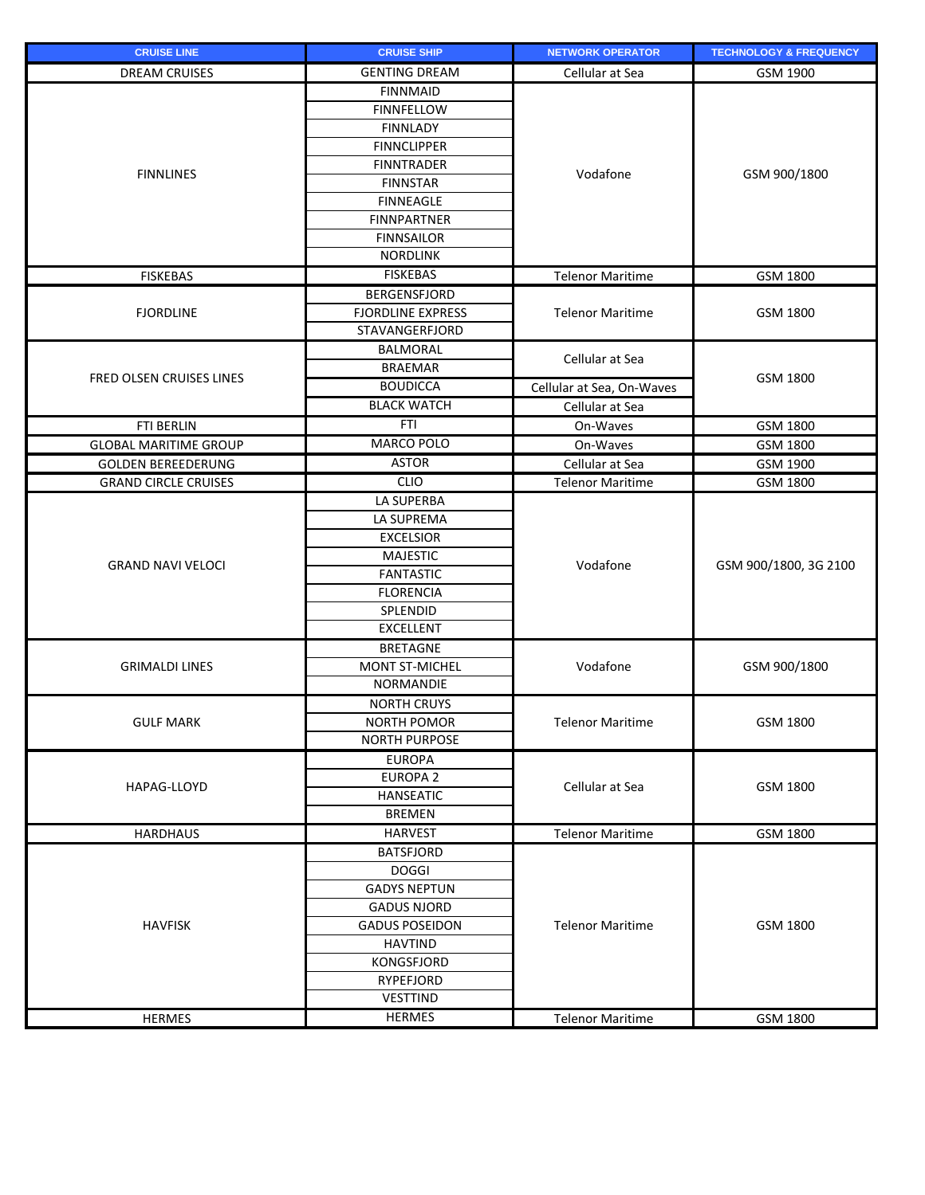| <b>CRUISE LINE</b>           | <b>CRUISE SHIP</b>       | <b>NETWORK OPERATOR</b>   | <b>TECHNOLOGY &amp; FREQUENCY</b> |
|------------------------------|--------------------------|---------------------------|-----------------------------------|
| <b>DREAM CRUISES</b>         | <b>GENTING DREAM</b>     | Cellular at Sea           | GSM 1900                          |
|                              | <b>FINNMAID</b>          |                           |                                   |
|                              | <b>FINNFELLOW</b>        |                           | GSM 900/1800                      |
|                              | <b>FINNLADY</b>          |                           |                                   |
| <b>FINNLINES</b>             | <b>FINNCLIPPER</b>       |                           |                                   |
|                              | <b>FINNTRADER</b>        | Vodafone                  |                                   |
|                              | <b>FINNSTAR</b>          |                           |                                   |
|                              | <b>FINNEAGLE</b>         |                           |                                   |
|                              | <b>FINNPARTNER</b>       |                           |                                   |
|                              | <b>FINNSAILOR</b>        |                           |                                   |
|                              | <b>NORDLINK</b>          |                           |                                   |
| <b>FISKEBAS</b>              | <b>FISKEBAS</b>          | <b>Telenor Maritime</b>   | GSM 1800                          |
|                              | <b>BERGENSFJORD</b>      |                           |                                   |
| <b>FJORDLINE</b>             | <b>FJORDLINE EXPRESS</b> | <b>Telenor Maritime</b>   | GSM 1800                          |
|                              | <b>STAVANGERFJORD</b>    |                           |                                   |
|                              | <b>BALMORAL</b>          |                           |                                   |
|                              | <b>BRAEMAR</b>           | Cellular at Sea           |                                   |
| FRED OLSEN CRUISES LINES     | <b>BOUDICCA</b>          | Cellular at Sea, On-Waves | GSM 1800                          |
|                              | <b>BLACK WATCH</b>       | Cellular at Sea           |                                   |
| <b>FTI BERLIN</b>            | <b>FTI</b>               | On-Waves                  | GSM 1800                          |
| <b>GLOBAL MARITIME GROUP</b> | MARCO POLO               | On-Waves                  | GSM 1800                          |
| <b>GOLDEN BEREEDERUNG</b>    | <b>ASTOR</b>             | Cellular at Sea           | GSM 1900                          |
| <b>GRAND CIRCLE CRUISES</b>  | <b>CLIO</b>              | <b>Telenor Maritime</b>   | GSM 1800                          |
|                              | LA SUPERBA               |                           | GSM 900/1800, 3G 2100             |
|                              | LA SUPREMA               |                           |                                   |
|                              | <b>EXCELSIOR</b>         | Vodafone                  |                                   |
|                              | <b>MAJESTIC</b>          |                           |                                   |
| <b>GRAND NAVI VELOCI</b>     | <b>FANTASTIC</b>         |                           |                                   |
|                              | <b>FLORENCIA</b>         |                           |                                   |
|                              | SPLENDID                 |                           |                                   |
|                              | <b>EXCELLENT</b>         |                           |                                   |
|                              | <b>BRETAGNE</b>          | Vodafone                  | GSM 900/1800                      |
| <b>GRIMALDI LINES</b>        | <b>MONT ST-MICHEL</b>    |                           |                                   |
|                              | NORMANDIE                |                           |                                   |
|                              | <b>NORTH CRUYS</b>       |                           |                                   |
| <b>GULF MARK</b>             | <b>NORTH POMOR</b>       | <b>Telenor Maritime</b>   | GSM 1800                          |
|                              | <b>NORTH PURPOSE</b>     |                           |                                   |
|                              | <b>EUROPA</b>            | Cellular at Sea           | GSM 1800                          |
|                              | <b>EUROPA 2</b>          |                           |                                   |
| HAPAG-LLOYD                  | <b>HANSEATIC</b>         |                           |                                   |
|                              | <b>BREMEN</b>            |                           |                                   |
| <b>HARDHAUS</b>              | <b>HARVEST</b>           | <b>Telenor Maritime</b>   | GSM 1800                          |
|                              | <b>BATSFJORD</b>         |                           | GSM 1800                          |
|                              | <b>DOGGI</b>             | <b>Telenor Maritime</b>   |                                   |
|                              | <b>GADYS NEPTUN</b>      |                           |                                   |
|                              | <b>GADUS NJORD</b>       |                           |                                   |
| <b>HAVFISK</b>               | <b>GADUS POSEIDON</b>    |                           |                                   |
|                              | <b>HAVTIND</b>           |                           |                                   |
|                              | <b>KONGSFJORD</b>        |                           |                                   |
|                              | <b>RYPEFJORD</b>         |                           |                                   |
|                              | <b>VESTTIND</b>          |                           |                                   |
| <b>HERMES</b>                | <b>HERMES</b>            | <b>Telenor Maritime</b>   | GSM 1800                          |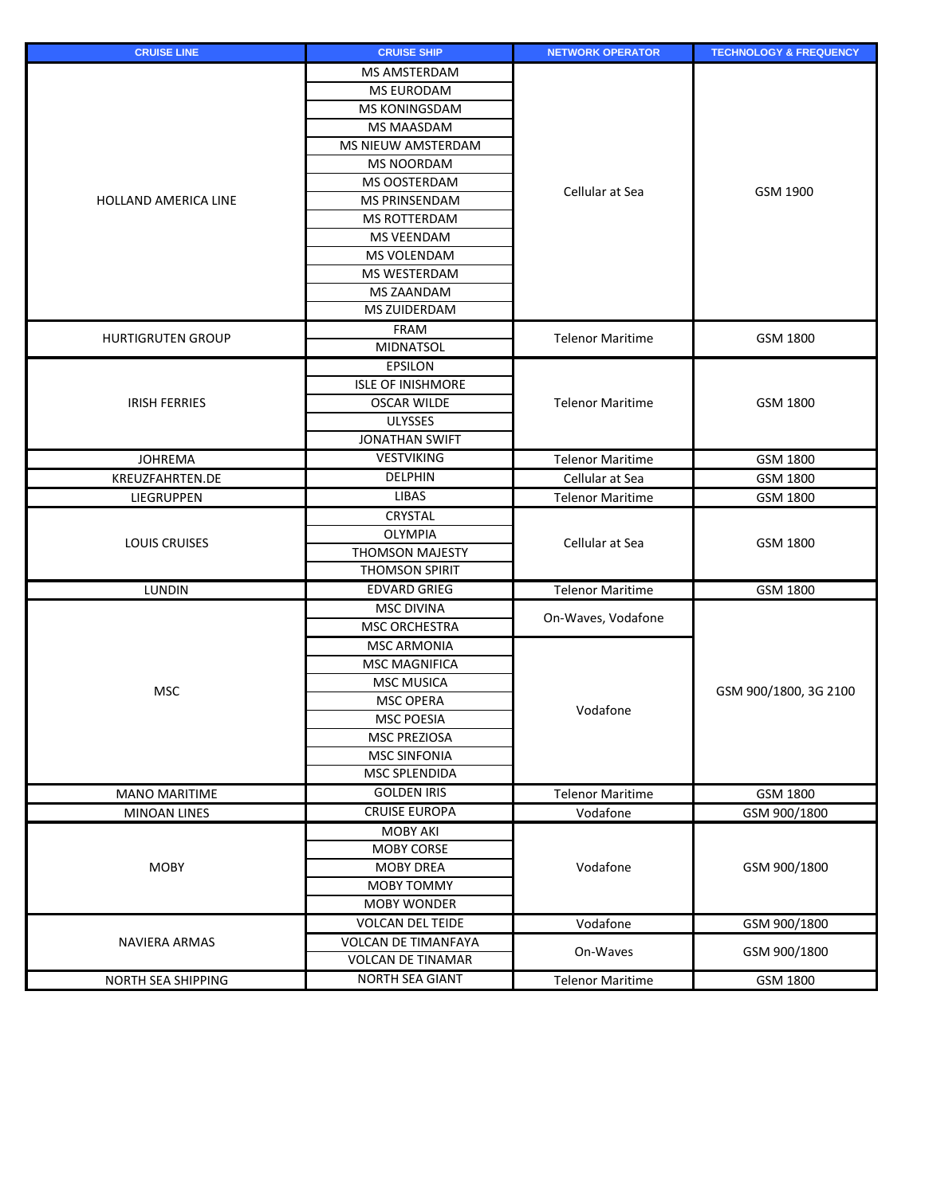| <b>CRUISE LINE</b>       | <b>CRUISE SHIP</b>         | <b>NETWORK OPERATOR</b> | <b>TECHNOLOGY &amp; FREQUENCY</b> |
|--------------------------|----------------------------|-------------------------|-----------------------------------|
|                          | <b>MS AMSTERDAM</b>        |                         | GSM 1900                          |
|                          | <b>MS EURODAM</b>          |                         |                                   |
|                          | <b>MS KONINGSDAM</b>       |                         |                                   |
|                          | <b>MS MAASDAM</b>          |                         |                                   |
|                          | MS NIEUW AMSTERDAM         |                         |                                   |
|                          | <b>MS NOORDAM</b>          |                         |                                   |
|                          | <b>MS OOSTERDAM</b>        |                         |                                   |
| HOLLAND AMERICA LINE     | <b>MS PRINSENDAM</b>       | Cellular at Sea         |                                   |
|                          | MS ROTTERDAM               |                         |                                   |
|                          | MS VEENDAM                 |                         |                                   |
|                          | <b>MS VOLENDAM</b>         |                         |                                   |
|                          | <b>MS WESTERDAM</b>        |                         |                                   |
|                          | <b>MS ZAANDAM</b>          |                         |                                   |
|                          | <b>MS ZUIDERDAM</b>        |                         |                                   |
|                          | <b>FRAM</b>                |                         |                                   |
| <b>HURTIGRUTEN GROUP</b> | <b>MIDNATSOL</b>           | <b>Telenor Maritime</b> | GSM 1800                          |
|                          | <b>EPSILON</b>             |                         |                                   |
|                          | <b>ISLE OF INISHMORE</b>   |                         |                                   |
| <b>IRISH FERRIES</b>     | <b>OSCAR WILDE</b>         | <b>Telenor Maritime</b> | GSM 1800                          |
|                          | <b>ULYSSES</b>             |                         |                                   |
|                          | <b>JONATHAN SWIFT</b>      |                         |                                   |
| <b>JOHREMA</b>           | <b>VESTVIKING</b>          | <b>Telenor Maritime</b> | GSM 1800                          |
| KREUZFAHRTEN.DE          | <b>DELPHIN</b>             | Cellular at Sea         | GSM 1800                          |
| <b>LIEGRUPPEN</b>        | <b>LIBAS</b>               | <b>Telenor Maritime</b> | GSM 1800                          |
|                          | <b>CRYSTAL</b>             |                         | GSM 1800                          |
|                          | <b>OLYMPIA</b>             | Cellular at Sea         |                                   |
| <b>LOUIS CRUISES</b>     | <b>THOMSON MAJESTY</b>     |                         |                                   |
|                          | <b>THOMSON SPIRIT</b>      |                         |                                   |
| <b>LUNDIN</b>            | <b>EDVARD GRIEG</b>        | <b>Telenor Maritime</b> | GSM 1800                          |
|                          | <b>MSC DIVINA</b>          |                         |                                   |
|                          | <b>MSC ORCHESTRA</b>       | On-Waves, Vodafone      | GSM 900/1800, 3G 2100             |
|                          | <b>MSC ARMONIA</b>         |                         |                                   |
|                          | <b>MSC MAGNIFICA</b>       |                         |                                   |
|                          | <b>MSC MUSICA</b>          |                         |                                   |
| <b>MSC</b>               | <b>MSC OPERA</b>           |                         |                                   |
|                          | <b>MSC POESIA</b>          | Vodafone                |                                   |
|                          | <b>MSC PREZIOSA</b>        |                         |                                   |
|                          | <b>MSC SINFONIA</b>        |                         |                                   |
|                          | <b>MSC SPLENDIDA</b>       |                         |                                   |
| <b>MANO MARITIME</b>     | <b>GOLDEN IRIS</b>         | <b>Telenor Maritime</b> | GSM 1800                          |
| <b>MINOAN LINES</b>      | <b>CRUISE EUROPA</b>       | Vodafone                | GSM 900/1800                      |
|                          | <b>MOBY AKI</b>            |                         | GSM 900/1800                      |
| <b>MOBY</b>              | <b>MOBY CORSE</b>          | Vodafone                |                                   |
|                          | <b>MOBY DREA</b>           |                         |                                   |
|                          | <b>MOBY TOMMY</b>          |                         |                                   |
|                          | <b>MOBY WONDER</b>         |                         |                                   |
|                          | <b>VOLCAN DEL TEIDE</b>    | Vodafone                | GSM 900/1800                      |
| NAVIERA ARMAS            | <b>VOLCAN DE TIMANFAYA</b> |                         |                                   |
|                          | <b>VOLCAN DE TINAMAR</b>   | On-Waves                | GSM 900/1800                      |
| NORTH SEA SHIPPING       | NORTH SEA GIANT            | <b>Telenor Maritime</b> | GSM 1800                          |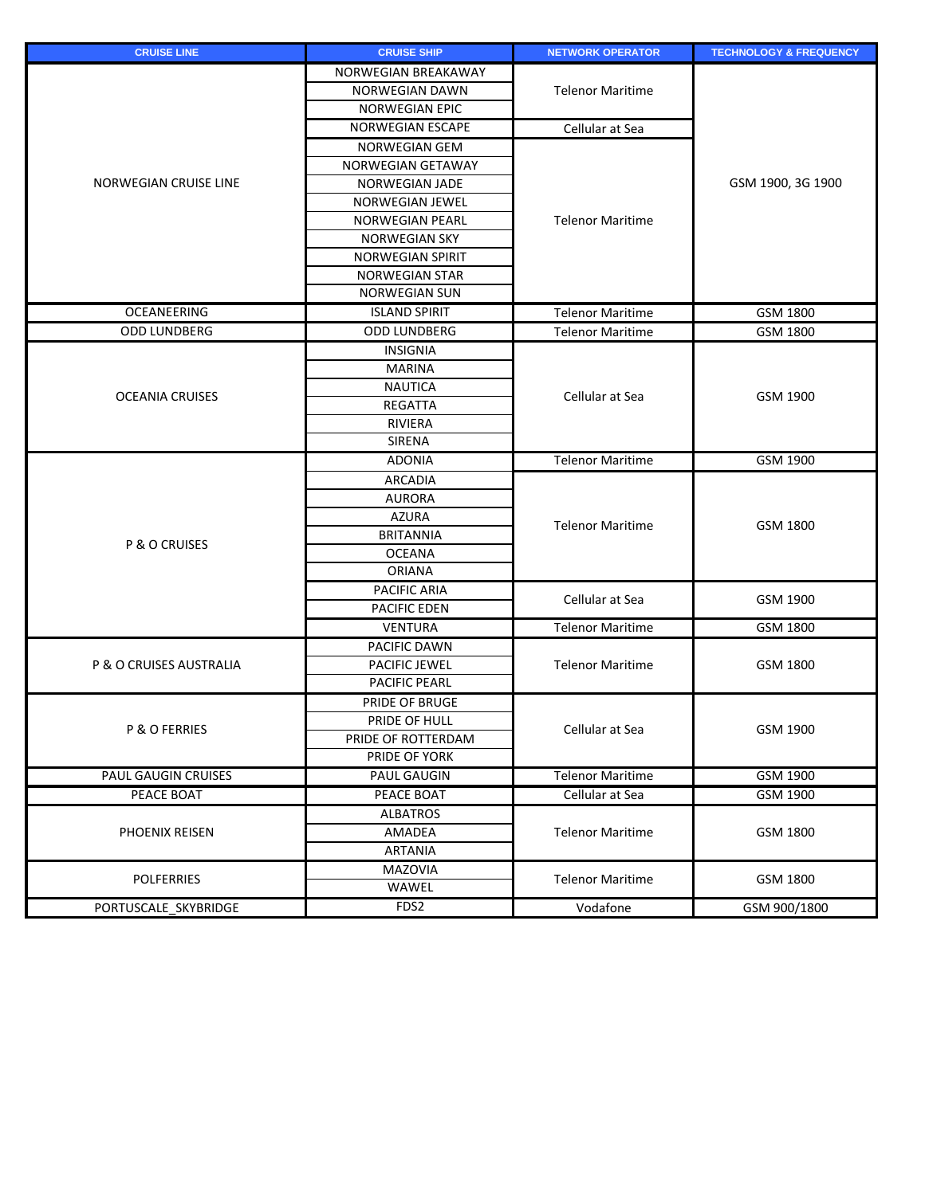| <b>CRUISE LINE</b>         | <b>CRUISE SHIP</b>      | <b>NETWORK OPERATOR</b> | <b>TECHNOLOGY &amp; FREQUENCY</b> |
|----------------------------|-------------------------|-------------------------|-----------------------------------|
|                            | NORWEGIAN BREAKAWAY     |                         |                                   |
|                            | <b>NORWEGIAN DAWN</b>   | <b>Telenor Maritime</b> |                                   |
|                            | <b>NORWEGIAN EPIC</b>   |                         |                                   |
|                            | <b>NORWEGIAN ESCAPE</b> | Cellular at Sea         |                                   |
|                            | NORWEGIAN GEM           |                         | GSM 1900, 3G 1900                 |
|                            | NORWEGIAN GETAWAY       |                         |                                   |
| NORWEGIAN CRUISE LINE      | <b>NORWEGIAN JADE</b>   |                         |                                   |
|                            | <b>NORWEGIAN JEWEL</b>  |                         |                                   |
|                            | <b>NORWEGIAN PEARL</b>  | <b>Telenor Maritime</b> |                                   |
|                            | <b>NORWEGIAN SKY</b>    |                         |                                   |
|                            | <b>NORWEGIAN SPIRIT</b> |                         |                                   |
|                            | <b>NORWEGIAN STAR</b>   |                         |                                   |
|                            | <b>NORWEGIAN SUN</b>    |                         |                                   |
| <b>OCEANEERING</b>         | <b>ISLAND SPIRIT</b>    | <b>Telenor Maritime</b> | GSM 1800                          |
| <b>ODD LUNDBERG</b>        | <b>ODD LUNDBERG</b>     | <b>Telenor Maritime</b> | GSM 1800                          |
|                            | <b>INSIGNIA</b>         |                         |                                   |
|                            | <b>MARINA</b>           |                         |                                   |
| <b>OCEANIA CRUISES</b>     | <b>NAUTICA</b>          | Cellular at Sea         | GSM 1900                          |
|                            | <b>REGATTA</b>          |                         |                                   |
|                            | <b>RIVIERA</b>          |                         |                                   |
|                            | <b>SIRENA</b>           |                         |                                   |
|                            | <b>ADONIA</b>           | <b>Telenor Maritime</b> | GSM 1900                          |
|                            | <b>ARCADIA</b>          |                         | GSM 1800                          |
|                            | <b>AURORA</b>           | <b>Telenor Maritime</b> |                                   |
|                            | <b>AZURA</b>            |                         |                                   |
| P & O CRUISES              | <b>BRITANNIA</b>        |                         |                                   |
|                            | <b>OCEANA</b>           |                         |                                   |
|                            | <b>ORIANA</b>           |                         |                                   |
|                            | PACIFIC ARIA            | Cellular at Sea         | GSM 1900                          |
|                            | <b>PACIFIC FDFN</b>     |                         |                                   |
|                            | <b>VENTURA</b>          | <b>Telenor Maritime</b> | GSM 1800                          |
|                            | PACIFIC DAWN            |                         | GSM 1800                          |
| P & O CRUISES AUSTRALIA    | PACIFIC JEWEL           | <b>Telenor Maritime</b> |                                   |
|                            | <b>PACIFIC PEARL</b>    |                         |                                   |
|                            | PRIDE OF BRUGE          | Cellular at Sea         | GSM 1900                          |
| P & O FERRIES              | PRIDE OF HULL           |                         |                                   |
|                            | PRIDE OF ROTTERDAM      |                         |                                   |
|                            | PRIDE OF YORK           |                         |                                   |
| <b>PAUL GAUGIN CRUISES</b> | <b>PAUL GAUGIN</b>      | <b>Telenor Maritime</b> | <b>GSM 1900</b>                   |
| PEACE BOAT                 | PEACE BOAT              | Cellular at Sea         | GSM 1900                          |
|                            | <b>ALBATROS</b>         |                         |                                   |
| PHOENIX REISEN             | AMADEA                  | <b>Telenor Maritime</b> | GSM 1800                          |
|                            | <b>ARTANIA</b>          |                         |                                   |
| <b>POLFERRIES</b>          | <b>MAZOVIA</b><br>WAWEL | <b>Telenor Maritime</b> | GSM 1800                          |
| PORTUSCALE SKYBRIDGE       | FDS2                    | Vodafone                | GSM 900/1800                      |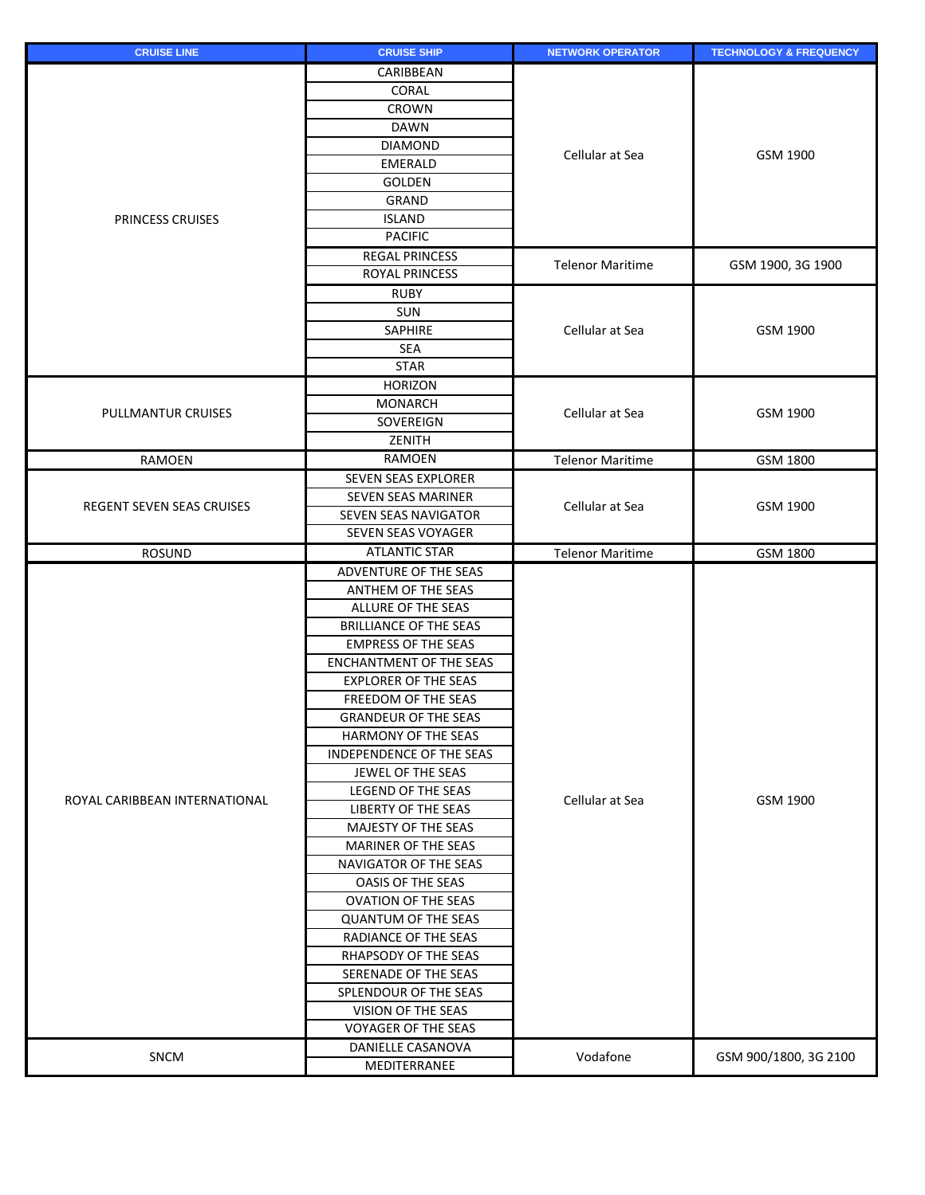| <b>CRUISE LINE</b>               | <b>CRUISE SHIP</b>             | <b>NETWORK OPERATOR</b> | <b>TECHNOLOGY &amp; FREQUENCY</b> |
|----------------------------------|--------------------------------|-------------------------|-----------------------------------|
|                                  | CARIBBEAN                      |                         |                                   |
|                                  | <b>CORAL</b>                   |                         |                                   |
|                                  | <b>CROWN</b>                   |                         |                                   |
|                                  | <b>DAWN</b>                    |                         |                                   |
|                                  | <b>DIAMOND</b>                 | Cellular at Sea         | GSM 1900                          |
| <b>PRINCESS CRUISES</b>          | <b>EMERALD</b>                 |                         |                                   |
|                                  | <b>GOLDEN</b>                  |                         |                                   |
|                                  | GRAND                          |                         |                                   |
|                                  | <b>ISLAND</b>                  |                         |                                   |
|                                  | <b>PACIFIC</b>                 |                         |                                   |
|                                  | <b>REGAL PRINCESS</b>          | <b>Telenor Maritime</b> |                                   |
|                                  | <b>ROYAL PRINCESS</b>          |                         | GSM 1900, 3G 1900                 |
|                                  | <b>RUBY</b>                    |                         |                                   |
|                                  | <b>SUN</b>                     |                         |                                   |
|                                  | <b>SAPHIRE</b>                 | Cellular at Sea         | GSM 1900                          |
|                                  | <b>SEA</b>                     |                         |                                   |
|                                  | <b>STAR</b>                    |                         |                                   |
|                                  | <b>HORIZON</b>                 |                         |                                   |
|                                  | <b>MONARCH</b>                 |                         |                                   |
| PULLMANTUR CRUISES               | SOVEREIGN                      | Cellular at Sea         | GSM 1900                          |
|                                  | ZENITH                         |                         |                                   |
| <b>RAMOEN</b>                    | <b>RAMOEN</b>                  | <b>Telenor Maritime</b> | GSM 1800                          |
|                                  | <b>SEVEN SEAS EXPLORER</b>     |                         |                                   |
|                                  | <b>SEVEN SEAS MARINER</b>      |                         | GSM 1900                          |
| <b>REGENT SEVEN SEAS CRUISES</b> | SEVEN SEAS NAVIGATOR           | Cellular at Sea         |                                   |
|                                  | SEVEN SEAS VOYAGER             |                         |                                   |
| <b>ROSUND</b>                    | <b>ATLANTIC STAR</b>           | <b>Telenor Maritime</b> | GSM 1800                          |
|                                  | <b>ADVENTURE OF THE SEAS</b>   |                         | GSM 1900                          |
|                                  | ANTHEM OF THE SEAS             |                         |                                   |
|                                  | ALLURE OF THE SEAS             |                         |                                   |
|                                  | <b>BRILLIANCE OF THE SEAS</b>  |                         |                                   |
|                                  | <b>EMPRESS OF THE SEAS</b>     |                         |                                   |
|                                  | <b>ENCHANTMENT OF THE SEAS</b> |                         |                                   |
|                                  | <b>EXPLORER OF THE SEAS</b>    |                         |                                   |
|                                  | FREEDOM OF THE SEAS            |                         |                                   |
|                                  | <b>GRANDEUR OF THE SEAS</b>    |                         |                                   |
|                                  | HARMONY OF THE SEAS            |                         |                                   |
|                                  | INDEPENDENCE OF THE SEAS       | Cellular at Sea         |                                   |
|                                  | JEWEL OF THE SEAS              |                         |                                   |
|                                  | LEGEND OF THE SEAS             |                         |                                   |
| ROYAL CARIBBEAN INTERNATIONAL    | <b>LIBERTY OF THE SEAS</b>     |                         |                                   |
|                                  | MAJESTY OF THE SEAS            |                         |                                   |
|                                  | <b>MARINER OF THE SEAS</b>     |                         |                                   |
|                                  | <b>NAVIGATOR OF THE SEAS</b>   |                         |                                   |
|                                  | <b>OASIS OF THE SEAS</b>       |                         |                                   |
|                                  | <b>OVATION OF THE SEAS</b>     |                         |                                   |
|                                  | <b>QUANTUM OF THE SEAS</b>     |                         |                                   |
|                                  | RADIANCE OF THE SEAS           |                         |                                   |
|                                  | RHAPSODY OF THE SEAS           |                         |                                   |
|                                  | SERENADE OF THE SEAS           |                         |                                   |
|                                  | SPLENDOUR OF THE SEAS          |                         |                                   |
|                                  | VISION OF THE SEAS             |                         |                                   |
|                                  | <b>VOYAGER OF THE SEAS</b>     |                         |                                   |
|                                  | DANIELLE CASANOVA              |                         |                                   |
| SNCM                             | MEDITERRANEE                   | Vodafone                | GSM 900/1800, 3G 2100             |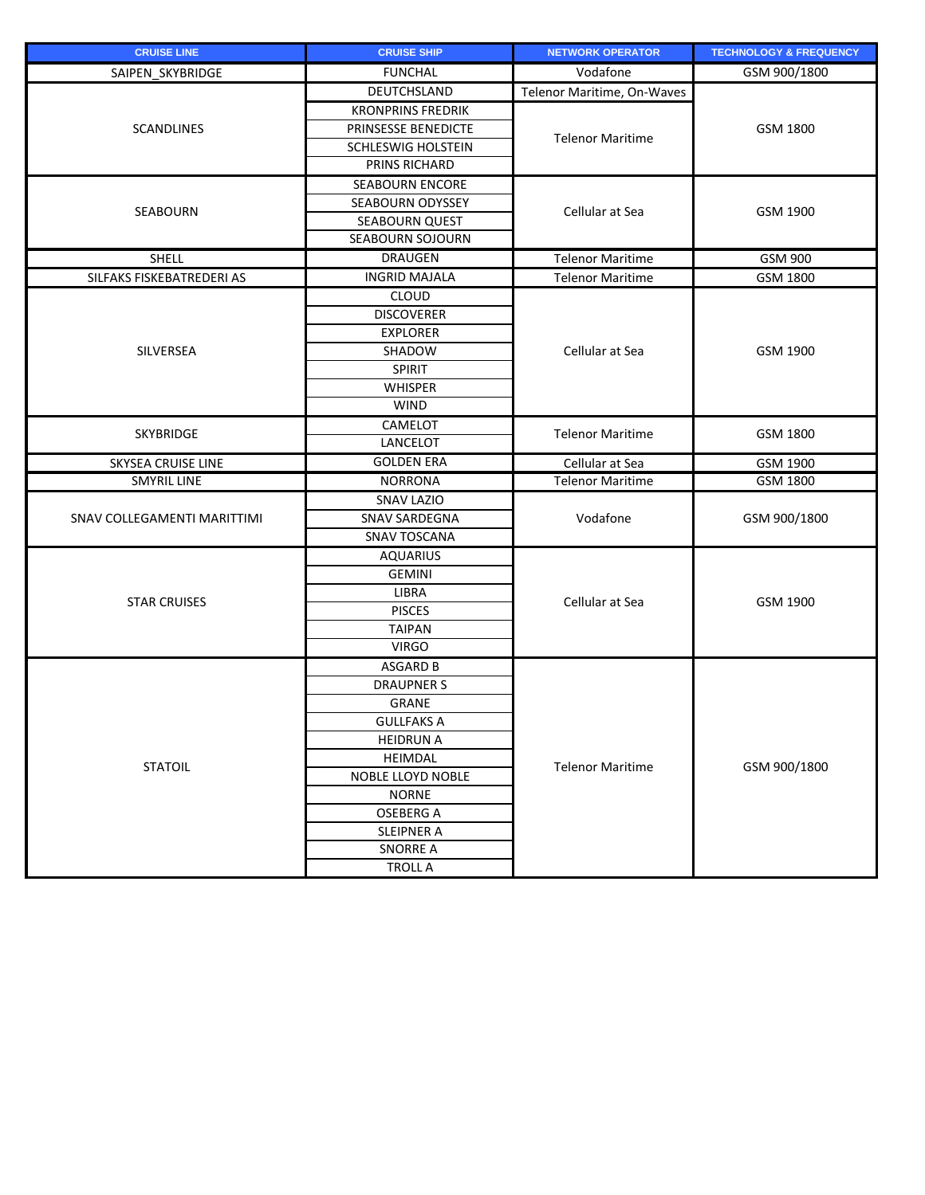| <b>CRUISE LINE</b>          | <b>CRUISE SHIP</b>        | <b>NETWORK OPERATOR</b>    | <b>TECHNOLOGY &amp; FREQUENCY</b> |
|-----------------------------|---------------------------|----------------------------|-----------------------------------|
| SAIPEN SKYBRIDGE            | <b>FUNCHAL</b>            | Vodafone                   | GSM 900/1800                      |
|                             | <b>DEUTCHSLAND</b>        | Telenor Maritime, On-Waves |                                   |
| <b>SCANDLINES</b>           | <b>KRONPRINS FREDRIK</b>  |                            | GSM 1800                          |
|                             | PRINSESSE BENEDICTE       |                            |                                   |
|                             | <b>SCHLESWIG HOLSTEIN</b> | <b>Telenor Maritime</b>    |                                   |
|                             | PRINS RICHARD             |                            |                                   |
|                             | <b>SEABOURN ENCORE</b>    |                            |                                   |
|                             | <b>SEABOURN ODYSSEY</b>   |                            | GSM 1900                          |
| <b>SEABOURN</b>             | <b>SEABOURN QUEST</b>     | Cellular at Sea            |                                   |
|                             | <b>SEABOURN SOJOURN</b>   |                            |                                   |
| <b>SHELL</b>                | <b>DRAUGEN</b>            | <b>Telenor Maritime</b>    | GSM 900                           |
| SILFAKS FISKEBATREDERI AS   | <b>INGRID MAJALA</b>      | <b>Telenor Maritime</b>    | GSM 1800                          |
|                             | <b>CLOUD</b>              |                            |                                   |
|                             | <b>DISCOVERER</b>         |                            |                                   |
|                             | <b>EXPLORER</b>           |                            |                                   |
| <b>SILVERSEA</b>            | SHADOW                    | Cellular at Sea            | GSM 1900                          |
|                             | <b>SPIRIT</b>             |                            |                                   |
|                             | <b>WHISPER</b>            |                            |                                   |
|                             | <b>WIND</b>               |                            |                                   |
|                             | CAMELOT                   |                            |                                   |
| SKYBRIDGE                   | <b>LANCELOT</b>           | <b>Telenor Maritime</b>    | GSM 1800                          |
| <b>SKYSEA CRUISE LINE</b>   | <b>GOLDEN ERA</b>         | Cellular at Sea            | GSM 1900                          |
| <b>SMYRIL LINE</b>          | <b>NORRONA</b>            | <b>Telenor Maritime</b>    | GSM 1800                          |
|                             | <b>SNAV LAZIO</b>         | Vodafone                   | GSM 900/1800                      |
| SNAV COLLEGAMENTI MARITTIMI | <b>SNAV SARDEGNA</b>      |                            |                                   |
|                             | <b>SNAV TOSCANA</b>       |                            |                                   |
|                             | <b>AQUARIUS</b>           |                            | GSM 1900                          |
|                             | <b>GEMINI</b>             |                            |                                   |
| <b>STAR CRUISES</b>         | <b>LIBRA</b>              | Cellular at Sea            |                                   |
|                             | <b>PISCES</b>             |                            |                                   |
|                             | <b>TAIPAN</b>             |                            |                                   |
|                             | <b>VIRGO</b>              |                            |                                   |
|                             | <b>ASGARD B</b>           |                            | GSM 900/1800                      |
|                             | <b>DRAUPNER S</b>         |                            |                                   |
|                             | <b>GRANE</b>              |                            |                                   |
| <b>STATOIL</b>              | <b>GULLFAKS A</b>         | <b>Telenor Maritime</b>    |                                   |
|                             | <b>HEIDRUN A</b>          |                            |                                   |
|                             | <b>HEIMDAL</b>            |                            |                                   |
|                             | NOBLE LLOYD NOBLE         |                            |                                   |
|                             | <b>NORNE</b>              |                            |                                   |
|                             | <b>OSEBERG A</b>          |                            |                                   |
|                             | <b>SLEIPNER A</b>         |                            |                                   |
|                             | <b>SNORRE A</b>           |                            |                                   |
|                             | <b>TROLL A</b>            |                            |                                   |